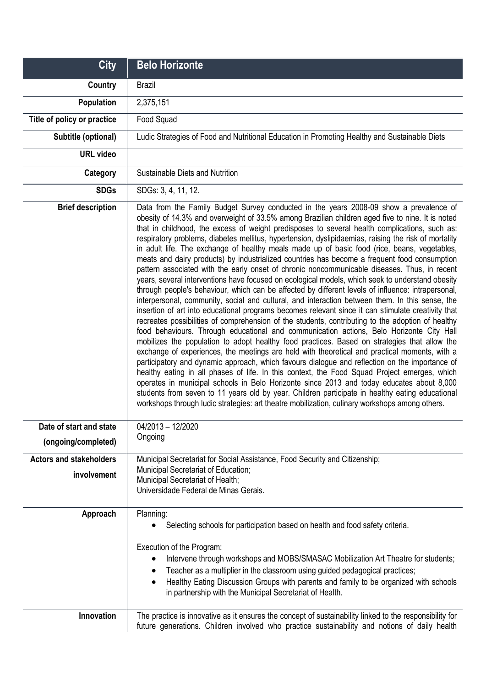| <b>City</b>                                    | <b>Belo Horizonte</b>                                                                                                                                                                                                                                                                                                                                                                                                                                                                                                                                                                                                                                                                                                                                                                                                                                                                                                                                                                                                                                                                                                                                                                                                                                                                                                                                                                                                                                                                                                                                                                                                                                                                                                                                                                                                                                                                                                                                                                                                        |
|------------------------------------------------|------------------------------------------------------------------------------------------------------------------------------------------------------------------------------------------------------------------------------------------------------------------------------------------------------------------------------------------------------------------------------------------------------------------------------------------------------------------------------------------------------------------------------------------------------------------------------------------------------------------------------------------------------------------------------------------------------------------------------------------------------------------------------------------------------------------------------------------------------------------------------------------------------------------------------------------------------------------------------------------------------------------------------------------------------------------------------------------------------------------------------------------------------------------------------------------------------------------------------------------------------------------------------------------------------------------------------------------------------------------------------------------------------------------------------------------------------------------------------------------------------------------------------------------------------------------------------------------------------------------------------------------------------------------------------------------------------------------------------------------------------------------------------------------------------------------------------------------------------------------------------------------------------------------------------------------------------------------------------------------------------------------------------|
| Country                                        | <b>Brazil</b>                                                                                                                                                                                                                                                                                                                                                                                                                                                                                                                                                                                                                                                                                                                                                                                                                                                                                                                                                                                                                                                                                                                                                                                                                                                                                                                                                                                                                                                                                                                                                                                                                                                                                                                                                                                                                                                                                                                                                                                                                |
| Population                                     | 2,375,151                                                                                                                                                                                                                                                                                                                                                                                                                                                                                                                                                                                                                                                                                                                                                                                                                                                                                                                                                                                                                                                                                                                                                                                                                                                                                                                                                                                                                                                                                                                                                                                                                                                                                                                                                                                                                                                                                                                                                                                                                    |
| Title of policy or practice                    | Food Squad                                                                                                                                                                                                                                                                                                                                                                                                                                                                                                                                                                                                                                                                                                                                                                                                                                                                                                                                                                                                                                                                                                                                                                                                                                                                                                                                                                                                                                                                                                                                                                                                                                                                                                                                                                                                                                                                                                                                                                                                                   |
| Subtitle (optional)                            | Ludic Strategies of Food and Nutritional Education in Promoting Healthy and Sustainable Diets                                                                                                                                                                                                                                                                                                                                                                                                                                                                                                                                                                                                                                                                                                                                                                                                                                                                                                                                                                                                                                                                                                                                                                                                                                                                                                                                                                                                                                                                                                                                                                                                                                                                                                                                                                                                                                                                                                                                |
| <b>URL</b> video                               |                                                                                                                                                                                                                                                                                                                                                                                                                                                                                                                                                                                                                                                                                                                                                                                                                                                                                                                                                                                                                                                                                                                                                                                                                                                                                                                                                                                                                                                                                                                                                                                                                                                                                                                                                                                                                                                                                                                                                                                                                              |
| Category                                       | Sustainable Diets and Nutrition                                                                                                                                                                                                                                                                                                                                                                                                                                                                                                                                                                                                                                                                                                                                                                                                                                                                                                                                                                                                                                                                                                                                                                                                                                                                                                                                                                                                                                                                                                                                                                                                                                                                                                                                                                                                                                                                                                                                                                                              |
| <b>SDGs</b>                                    | SDGs: 3, 4, 11, 12.                                                                                                                                                                                                                                                                                                                                                                                                                                                                                                                                                                                                                                                                                                                                                                                                                                                                                                                                                                                                                                                                                                                                                                                                                                                                                                                                                                                                                                                                                                                                                                                                                                                                                                                                                                                                                                                                                                                                                                                                          |
| <b>Brief description</b>                       | Data from the Family Budget Survey conducted in the years 2008-09 show a prevalence of<br>obesity of 14.3% and overweight of 33.5% among Brazilian children aged five to nine. It is noted<br>that in childhood, the excess of weight predisposes to several health complications, such as:<br>respiratory problems, diabetes mellitus, hypertension, dyslipidaemias, raising the risk of mortality<br>in adult life. The exchange of healthy meals made up of basic food (rice, beans, vegetables,<br>meats and dairy products) by industrialized countries has become a frequent food consumption<br>pattern associated with the early onset of chronic noncommunicable diseases. Thus, in recent<br>years, several interventions have focused on ecological models, which seek to understand obesity<br>through people's behaviour, which can be affected by different levels of influence: intrapersonal,<br>interpersonal, community, social and cultural, and interaction between them. In this sense, the<br>insertion of art into educational programs becomes relevant since it can stimulate creativity that<br>recreates possibilities of comprehension of the students, contributing to the adoption of healthy<br>food behaviours. Through educational and communication actions, Belo Horizonte City Hall<br>mobilizes the population to adopt healthy food practices. Based on strategies that allow the<br>exchange of experiences, the meetings are held with theoretical and practical moments, with a<br>participatory and dynamic approach, which favours dialogue and reflection on the importance of<br>healthy eating in all phases of life. In this context, the Food Squad Project emerges, which<br>operates in municipal schools in Belo Horizonte since 2013 and today educates about 8,000<br>students from seven to 11 years old by year. Children participate in healthy eating educational<br>workshops through ludic strategies: art theatre mobilization, culinary workshops among others. |
| Date of start and state<br>(ongoing/completed) | 04/2013 - 12/2020<br>Ongoing                                                                                                                                                                                                                                                                                                                                                                                                                                                                                                                                                                                                                                                                                                                                                                                                                                                                                                                                                                                                                                                                                                                                                                                                                                                                                                                                                                                                                                                                                                                                                                                                                                                                                                                                                                                                                                                                                                                                                                                                 |
| <b>Actors and stakeholders</b>                 | Municipal Secretariat for Social Assistance, Food Security and Citizenship;                                                                                                                                                                                                                                                                                                                                                                                                                                                                                                                                                                                                                                                                                                                                                                                                                                                                                                                                                                                                                                                                                                                                                                                                                                                                                                                                                                                                                                                                                                                                                                                                                                                                                                                                                                                                                                                                                                                                                  |
| involvement                                    | Municipal Secretariat of Education;<br>Municipal Secretariat of Health;<br>Universidade Federal de Minas Gerais.                                                                                                                                                                                                                                                                                                                                                                                                                                                                                                                                                                                                                                                                                                                                                                                                                                                                                                                                                                                                                                                                                                                                                                                                                                                                                                                                                                                                                                                                                                                                                                                                                                                                                                                                                                                                                                                                                                             |
| Approach                                       | Planning:<br>Selecting schools for participation based on health and food safety criteria.<br>Execution of the Program:<br>Intervene through workshops and MOBS/SMASAC Mobilization Art Theatre for students;<br>$\bullet$<br>Teacher as a multiplier in the classroom using guided pedagogical practices;<br>٠<br>Healthy Eating Discussion Groups with parents and family to be organized with schools<br>$\bullet$<br>in partnership with the Municipal Secretariat of Health.                                                                                                                                                                                                                                                                                                                                                                                                                                                                                                                                                                                                                                                                                                                                                                                                                                                                                                                                                                                                                                                                                                                                                                                                                                                                                                                                                                                                                                                                                                                                            |
| Innovation                                     | The practice is innovative as it ensures the concept of sustainability linked to the responsibility for<br>future generations. Children involved who practice sustainability and notions of daily health                                                                                                                                                                                                                                                                                                                                                                                                                                                                                                                                                                                                                                                                                                                                                                                                                                                                                                                                                                                                                                                                                                                                                                                                                                                                                                                                                                                                                                                                                                                                                                                                                                                                                                                                                                                                                     |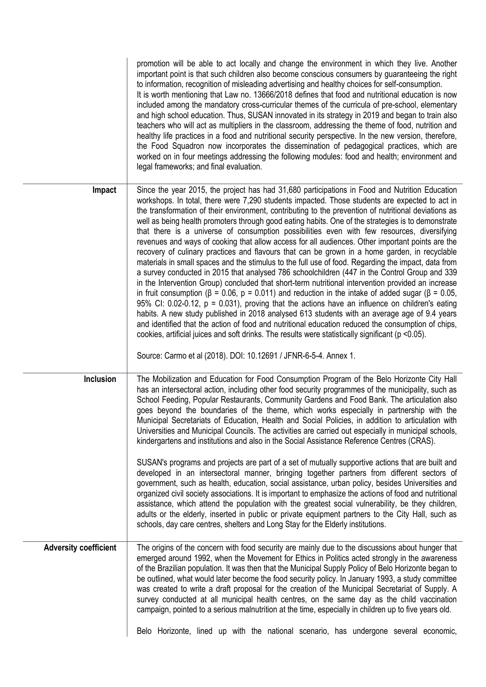|                              | promotion will be able to act locally and change the environment in which they live. Another<br>important point is that such children also become conscious consumers by guaranteeing the right<br>to information, recognition of misleading advertising and healthy choices for self-consumption.<br>It is worth mentioning that Law no. 13666/2018 defines that food and nutritional education is now<br>included among the mandatory cross-curricular themes of the curricula of pre-school, elementary<br>and high school education. Thus, SUSAN innovated in its strategy in 2019 and began to train also<br>teachers who will act as multipliers in the classroom, addressing the theme of food, nutrition and<br>healthy life practices in a food and nutritional security perspective. In the new version, therefore,<br>the Food Squadron now incorporates the dissemination of pedagogical practices, which are<br>worked on in four meetings addressing the following modules: food and health; environment and<br>legal frameworks; and final evaluation.                                                                                                                                                                                                                                                                                                                                                                                                                                                                                                                                                                    |
|------------------------------|------------------------------------------------------------------------------------------------------------------------------------------------------------------------------------------------------------------------------------------------------------------------------------------------------------------------------------------------------------------------------------------------------------------------------------------------------------------------------------------------------------------------------------------------------------------------------------------------------------------------------------------------------------------------------------------------------------------------------------------------------------------------------------------------------------------------------------------------------------------------------------------------------------------------------------------------------------------------------------------------------------------------------------------------------------------------------------------------------------------------------------------------------------------------------------------------------------------------------------------------------------------------------------------------------------------------------------------------------------------------------------------------------------------------------------------------------------------------------------------------------------------------------------------------------------------------------------------------------------------------------------------|
| Impact                       | Since the year 2015, the project has had 31,680 participations in Food and Nutrition Education<br>workshops. In total, there were 7,290 students impacted. Those students are expected to act in<br>the transformation of their environment, contributing to the prevention of nutritional deviations as<br>well as being health promoters through good eating habits. One of the strategies is to demonstrate<br>that there is a universe of consumption possibilities even with few resources, diversifying<br>revenues and ways of cooking that allow access for all audiences. Other important points are the<br>recovery of culinary practices and flavours that can be grown in a home garden, in recyclable<br>materials in small spaces and the stimulus to the full use of food. Regarding the impact, data from<br>a survey conducted in 2015 that analysed 786 schoolchildren (447 in the Control Group and 339<br>in the Intervention Group) concluded that short-term nutritional intervention provided an increase<br>in fruit consumption ( $\beta$ = 0.06, $p$ = 0.011) and reduction in the intake of added sugar ( $\beta$ = 0.05,<br>95% CI: 0.02-0.12, $p = 0.031$ ), proving that the actions have an influence on children's eating<br>habits. A new study published in 2018 analysed 613 students with an average age of 9.4 years<br>and identified that the action of food and nutritional education reduced the consumption of chips,<br>cookies, artificial juices and soft drinks. The results were statistically significant (p <0.05).<br>Source: Carmo et al (2018). DOI: 10.12691 / JFNR-6-5-4. Annex 1. |
| Inclusion                    | The Mobilization and Education for Food Consumption Program of the Belo Horizonte City Hall<br>has an intersectoral action, including other food security programmes of the municipality, such as<br>School Feeding, Popular Restaurants, Community Gardens and Food Bank. The articulation also<br>goes beyond the boundaries of the theme, which works especially in partnership with the<br>Municipal Secretariats of Education, Health and Social Policies, in addition to articulation with<br>Universities and Municipal Councils. The activities are carried out especially in municipal schools,<br>kindergartens and institutions and also in the Social Assistance Reference Centres (CRAS).<br>SUSAN's programs and projects are part of a set of mutually supportive actions that are built and<br>developed in an intersectoral manner, bringing together partners from different sectors of<br>government, such as health, education, social assistance, urban policy, besides Universities and<br>organized civil society associations. It is important to emphasize the actions of food and nutritional<br>assistance, which attend the population with the greatest social vulnerability, be they children,<br>adults or the elderly, inserted in public or private equipment partners to the City Hall, such as<br>schools, day care centres, shelters and Long Stay for the Elderly institutions.                                                                                                                                                                                                                     |
| <b>Adversity coefficient</b> | The origins of the concern with food security are mainly due to the discussions about hunger that<br>emerged around 1992, when the Movement for Ethics in Politics acted strongly in the awareness<br>of the Brazilian population. It was then that the Municipal Supply Policy of Belo Horizonte began to<br>be outlined, what would later become the food security policy. In January 1993, a study committee<br>was created to write a draft proposal for the creation of the Municipal Secretariat of Supply. A<br>survey conducted at all municipal health centres, on the same day as the child vaccination<br>campaign, pointed to a serious malnutrition at the time, especially in children up to five years old.<br>Belo Horizonte, lined up with the national scenario, has undergone several economic,                                                                                                                                                                                                                                                                                                                                                                                                                                                                                                                                                                                                                                                                                                                                                                                                                       |